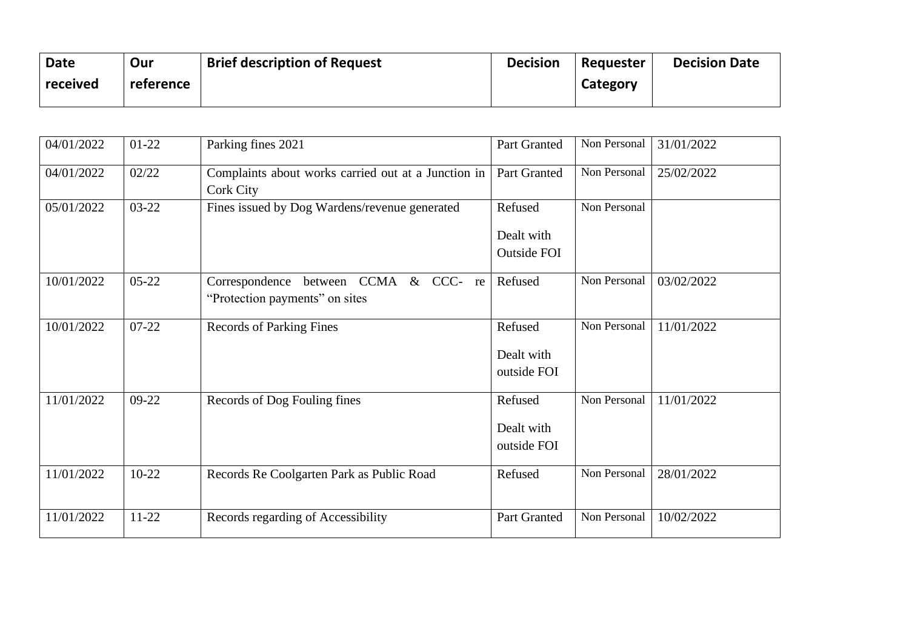| <b>Date</b> | Our       | <b>Brief description of Request</b> | <b>Decision</b> | Requester | <b>Decision Date</b> |
|-------------|-----------|-------------------------------------|-----------------|-----------|----------------------|
| received    | reference |                                     |                 | Category  |                      |
|             |           |                                     |                 |           |                      |

| 04/01/2022 | $01-22$   | Parking fines 2021                                                            | Part Granted                         | Non Personal | 31/01/2022 |
|------------|-----------|-------------------------------------------------------------------------------|--------------------------------------|--------------|------------|
| 04/01/2022 | 02/22     | Complaints about works carried out at a Junction in<br>Cork City              | Part Granted                         | Non Personal | 25/02/2022 |
| 05/01/2022 | 03-22     | Fines issued by Dog Wardens/revenue generated                                 | Refused<br>Dealt with<br>Outside FOI | Non Personal |            |
| 10/01/2022 | $05 - 22$ | between CCMA & CCC-<br>Correspondence<br>re<br>"Protection payments" on sites | Refused                              | Non Personal | 03/02/2022 |
| 10/01/2022 | $07 - 22$ | <b>Records of Parking Fines</b>                                               | Refused<br>Dealt with<br>outside FOI | Non Personal | 11/01/2022 |
| 11/01/2022 | $09-22$   | Records of Dog Fouling fines                                                  | Refused<br>Dealt with<br>outside FOI | Non Personal | 11/01/2022 |
| 11/01/2022 | $10-22$   | Records Re Coolgarten Park as Public Road                                     | Refused                              | Non Personal | 28/01/2022 |
| 11/01/2022 | $11 - 22$ | Records regarding of Accessibility                                            | Part Granted                         | Non Personal | 10/02/2022 |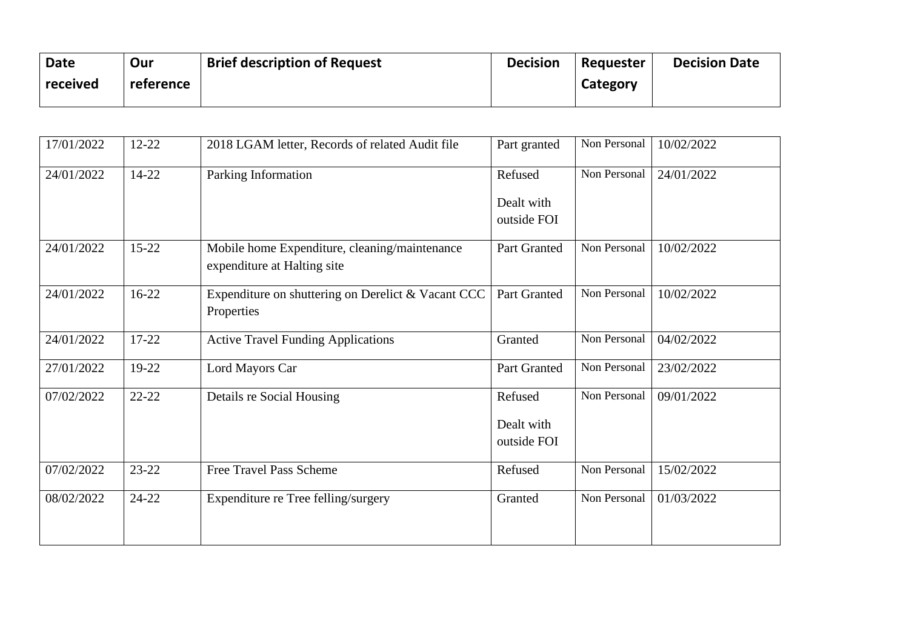| <b>Date</b> | Our       | <b>Brief description of Request</b> | <b>Decision</b> | Requester | <b>Decision Date</b> |
|-------------|-----------|-------------------------------------|-----------------|-----------|----------------------|
| received    | reference |                                     |                 | Category  |                      |
|             |           |                                     |                 |           |                      |

| 17/01/2022 | 12-22     | 2018 LGAM letter, Records of related Audit file                              | Part granted                         | Non Personal | 10/02/2022 |
|------------|-----------|------------------------------------------------------------------------------|--------------------------------------|--------------|------------|
| 24/01/2022 | 14-22     | Parking Information                                                          | Refused<br>Dealt with<br>outside FOI | Non Personal | 24/01/2022 |
| 24/01/2022 | $15 - 22$ | Mobile home Expenditure, cleaning/maintenance<br>expenditure at Halting site | Part Granted                         | Non Personal | 10/02/2022 |
| 24/01/2022 | $16-22$   | Expenditure on shuttering on Derelict & Vacant CCC<br>Properties             | Part Granted                         | Non Personal | 10/02/2022 |
| 24/01/2022 | 17-22     | <b>Active Travel Funding Applications</b>                                    | Granted                              | Non Personal | 04/02/2022 |
| 27/01/2022 | 19-22     | Lord Mayors Car                                                              | Part Granted                         | Non Personal | 23/02/2022 |
| 07/02/2022 | $22 - 22$ | Details re Social Housing                                                    | Refused<br>Dealt with<br>outside FOI | Non Personal | 09/01/2022 |
| 07/02/2022 | $23 - 22$ | <b>Free Travel Pass Scheme</b>                                               | Refused                              | Non Personal | 15/02/2022 |
| 08/02/2022 | $24 - 22$ | Expenditure re Tree felling/surgery                                          | Granted                              | Non Personal | 01/03/2022 |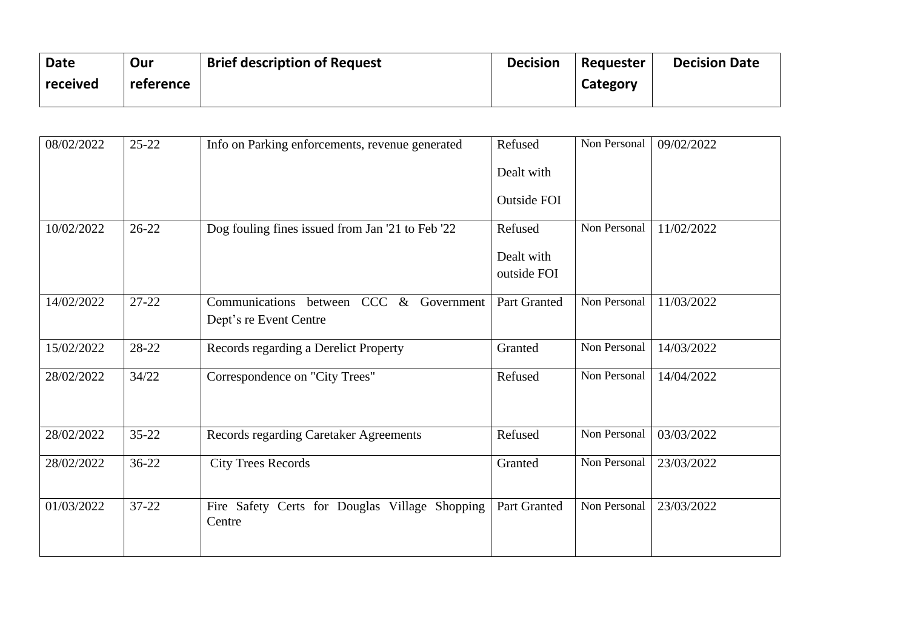| <b>Date</b> | Our       | <b>Brief description of Request</b> | <b>Decision</b> | Requester | <b>Decision Date</b> |
|-------------|-----------|-------------------------------------|-----------------|-----------|----------------------|
| received    | reference |                                     |                 | Category  |                      |
|             |           |                                     |                 |           |                      |

| 08/02/2022 | $25 - 22$ | Info on Parking enforcements, revenue generated                   | Refused<br>Dealt with<br><b>Outside FOI</b> | Non Personal | 09/02/2022 |
|------------|-----------|-------------------------------------------------------------------|---------------------------------------------|--------------|------------|
| 10/02/2022 | $26 - 22$ | Dog fouling fines issued from Jan '21 to Feb '22                  | Refused<br>Dealt with<br>outside FOI        | Non Personal | 11/02/2022 |
| 14/02/2022 | $27 - 22$ | Communications between CCC & Government<br>Dept's re Event Centre | <b>Part Granted</b>                         | Non Personal | 11/03/2022 |
| 15/02/2022 | 28-22     | Records regarding a Derelict Property                             | Granted                                     | Non Personal | 14/03/2022 |
| 28/02/2022 | 34/22     | Correspondence on "City Trees"                                    | Refused                                     | Non Personal | 14/04/2022 |
| 28/02/2022 | $35 - 22$ | Records regarding Caretaker Agreements                            | Refused                                     | Non Personal | 03/03/2022 |
| 28/02/2022 | $36-22$   | <b>City Trees Records</b>                                         | Granted                                     | Non Personal | 23/03/2022 |
| 01/03/2022 | $37 - 22$ | Fire Safety Certs for Douglas Village Shopping<br>Centre          | Part Granted                                | Non Personal | 23/03/2022 |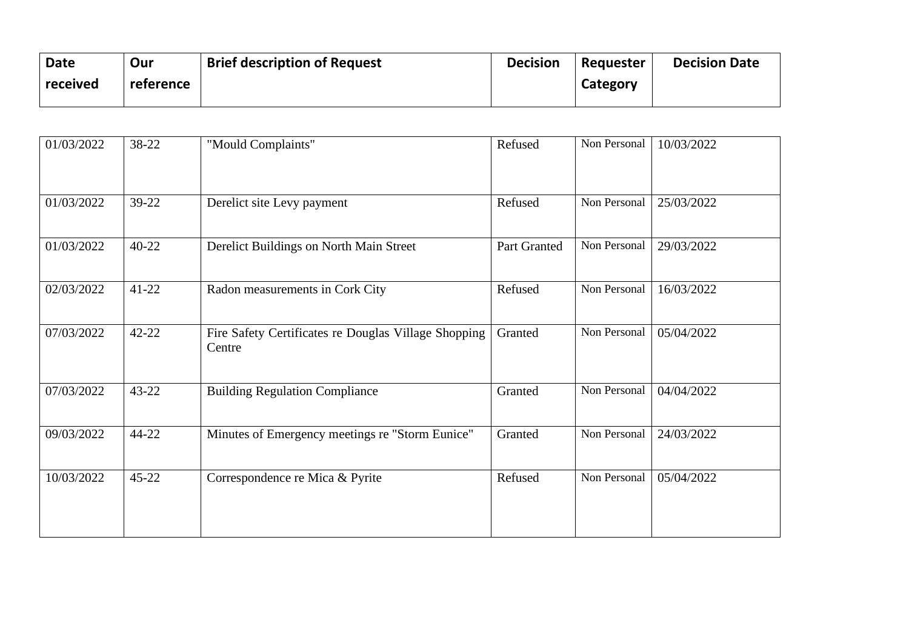| <b>Date</b><br>received | Our<br>reference | <b>Brief description of Request</b> | <b>Decision</b> | Requester<br>Category | <b>Decision Date</b> |
|-------------------------|------------------|-------------------------------------|-----------------|-----------------------|----------------------|
|-------------------------|------------------|-------------------------------------|-----------------|-----------------------|----------------------|

| 01/03/2022 | 38-22     | "Mould Complaints"                                             | Refused      | Non Personal | 10/03/2022 |
|------------|-----------|----------------------------------------------------------------|--------------|--------------|------------|
| 01/03/2022 | 39-22     | Derelict site Levy payment                                     | Refused      | Non Personal | 25/03/2022 |
| 01/03/2022 | $40 - 22$ | Derelict Buildings on North Main Street                        | Part Granted | Non Personal | 29/03/2022 |
| 02/03/2022 | $41 - 22$ | Radon measurements in Cork City                                | Refused      | Non Personal | 16/03/2022 |
| 07/03/2022 | $42 - 22$ | Fire Safety Certificates re Douglas Village Shopping<br>Centre | Granted      | Non Personal | 05/04/2022 |
| 07/03/2022 | $43 - 22$ | <b>Building Regulation Compliance</b>                          | Granted      | Non Personal | 04/04/2022 |
| 09/03/2022 | 44-22     | Minutes of Emergency meetings re "Storm Eunice"                | Granted      | Non Personal | 24/03/2022 |
| 10/03/2022 | $45 - 22$ | Correspondence re Mica & Pyrite                                | Refused      | Non Personal | 05/04/2022 |